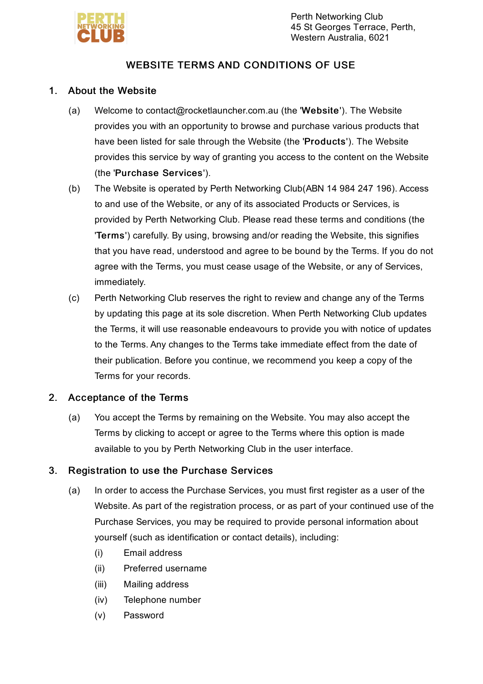

# WEBSITE TERMS AND CONDITIONS OF USE

### 1. About the Website

- (a) Welcome to contact@rocketlauncher.com.au (the 'Website'). The Website provides you with an opportunity to browse and purchase various products that have been listed for sale through the Website (the 'Products'). The Website provides this service by way of granting you access to the content on the Website (the 'Purchase Services').
- (b) The Website is operated by Perth Networking Club(ABN 14 984 247 196). Access to and use of the Website, or any of its associated Products or Services, is provided by Perth Networking Club. Please read these terms and conditions (the 'Terms') carefully. By using, browsing and/or reading the Website, this signifies that you have read, understood and agree to be bound by the Terms. If you do not agree with the Terms, you must cease usage of the Website, or any of Services, immediately.
- $(c)$ Perth Networking Club reserves the right to review and change any of the Terms by updating this page at its sole discretion. When Perth Networking Club updates the Terms, it will use reasonable endeavours to provide you with notice of updates to the Terms. Any changes to the Terms take immediate effect from the date of their publication. Before you continue, we recommend you keep a copy of the Terms for your records.

### 2. Acceptance of the Terms

(a) You accept the Terms by remaining on the Website. You may also accept the Terms by clicking to accept or agree to the Terms where this option is made available to you by Perth Networking Club in the user interface.

### 3. Registration to use the Purchase Services

- (a) In order to access the Purchase Services, you must first register as a user of the Website. As part of the registration process, or as part of your continued use of the Purchase Services, you may be required to provide personal information about yourself (such as identification or contact details), including:
	- (i) Email address
	- (ii) Preferred username
	- (iii) Mailing address
	- (iv) Telephone number
	- (v) Password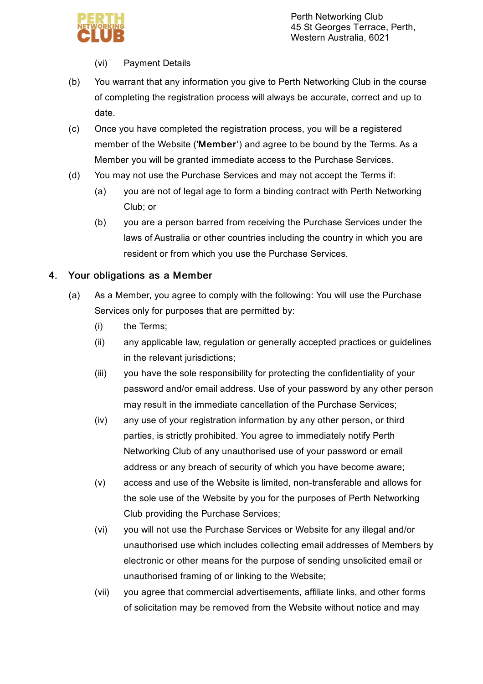

### (vi) Payment Details

- (b) You warrant that any information you give to Perth Networking Club in the course of completing the registration process will always be accurate, correct and up to date.
- (c) Once you have completed the registration process, you will be a registered member of the Website ('Member') and agree to be bound by the Terms. As a Member you will be granted immediate access to the Purchase Services.
- (d) You may not use the Purchase Services and may not accept the Terms if:
	- (a) you are not of legal age to form a binding contract with Perth Networking Club; or
	- (b) you are a person barred from receiving the Purchase Services under the laws of Australia or other countries including the country in which you are resident or from which you use the Purchase Services.

### 4. Your obligations as a Member

- (a) As a Member, you agree to comply with the following: You will use the Purchase Services only for purposes that are permitted by:
	- (i) the Terms;
	- (ii) any applicable law, regulation or generally accepted practices or guidelines in the relevant jurisdictions;
	- (iii) you have the sole responsibility for protecting the confidentiality of your password and/or email address. Use of your password by any other person may result in the immediate cancellation of the Purchase Services;
	- (iv) any use of your registration information by any other person, or third parties, is strictly prohibited. You agree to immediately notify Perth Networking Club of any unauthorised use of your password or email address or any breach of security of which you have become aware;
	- (v) access and use of the Website is limited, non-transferable and allows for the sole use of the Website by you for the purposes of Perth Networking Club providing the Purchase Services;
	- (vi) you will not use the Purchase Services or Website for any illegal and/or unauthorised use which includes collecting email addresses of Members by electronic or other means for the purpose of sending unsolicited email or unauthorised framing of or linking to the Website;
	- (vii) you agree that commercial advertisements, affiliate links, and other forms of solicitation may be removed from the Website without notice and may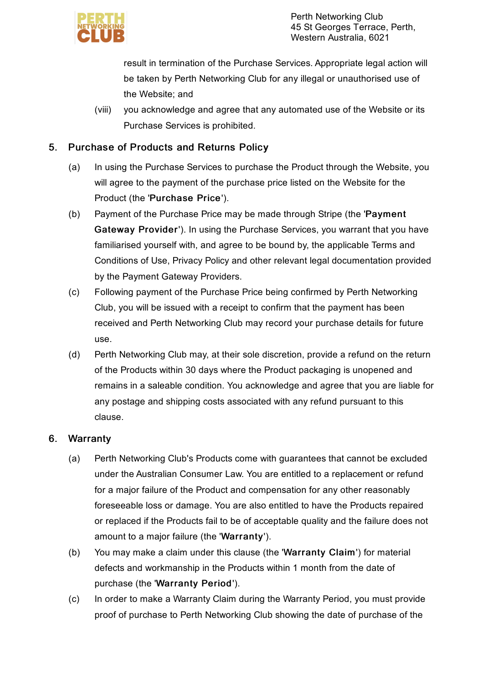

result in termination of the Purchase Services. Appropriate legal action will be taken by Perth Networking Club for any illegal or unauthorised use of the Website; and

(viii) you acknowledge and agree that any automated use of the Website or its Purchase Services is prohibited.

### 5. Purchase of Products and Returns Policy

- (a) In using the Purchase Services to purchase the Product through the Website, you will agree to the payment of the purchase price listed on the Website for the Product (the 'Purchase Price').
- (b) Payment of the Purchase Price may be made through Stripe (the 'Payment Gateway Provider'). In using the Purchase Services, you warrant that you have familiarised yourself with, and agree to be bound by, the applicable Terms and Conditions of Use, Privacy Policy and other relevant legal documentation provided by the Payment Gateway Providers.
- (c) Following payment of the Purchase Price being confirmed by Perth Networking Club, you will be issued with a receipt to confirm that the payment has been received and Perth Networking Club may record your purchase details for future use.
- (d) Perth Networking Club may, at their sole discretion, provide a refund on the return of the Products within 30 days where the Product packaging is unopened and remains in a saleable condition. You acknowledge and agree that you are liable for any postage and shipping costs associated with any refund pursuant to this clause.

### 6. **Warranty**

- (a) Perth Networking Club's Products come with guarantees that cannot be excluded under the Australian Consumer Law. You are entitled to a replacement or refund for a major failure of the Product and compensation for any other reasonably foreseeable loss or damage. You are also entitled to have the Products repaired or replaced if the Products fail to be of acceptable quality and the failure does not amount to a major failure (the 'Warranty').
- (b) You may make a claim under this clause (the 'Warranty Claim') for material defects and workmanship in the Products within 1 month from the date of purchase (the 'Warranty Period').
- (c) In order to make a Warranty Claim during the Warranty Period, you must provide proof of purchase to Perth Networking Club showing the date of purchase of the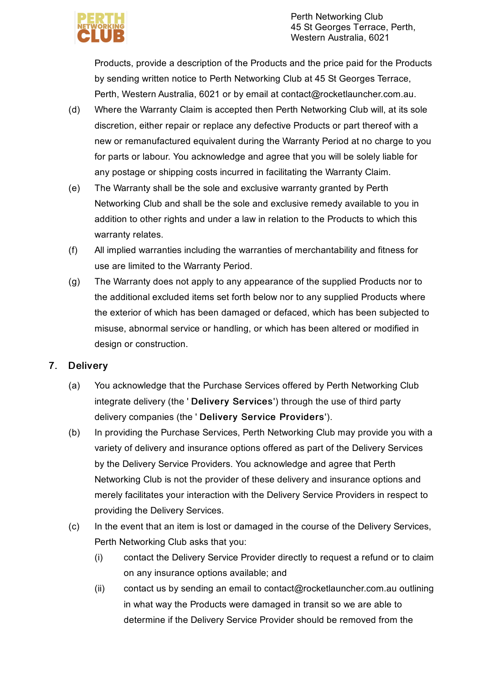

Products, provide a description of the Products and the price paid for the Products by sending written notice to Perth Networking Club at 45 St Georges Terrace, Perth, Western Australia, 6021 or by email at contact@rocketlauncher.com.au.

- (d) Where the Warranty Claim is accepted then Perth Networking Club will, at its sole discretion, either repair or replace any defective Products or part thereof with a new or remanufactured equivalent during the Warranty Period at no charge to you for parts or labour. You acknowledge and agree that you will be solely liable for any postage or shipping costs incurred in facilitating the Warranty Claim.
- (e) The Warranty shall be the sole and exclusive warranty granted by Perth Networking Club and shall be the sole and exclusive remedy available to you in addition to other rights and under a law in relation to the Products to which this warranty relates.
- (f) All implied warranties including the warranties of merchantability and fitness for use are limited to the Warranty Period.
- (g) The Warranty does not apply to any appearance of the supplied Products nor to the additional excluded items set forth below nor to any supplied Products where the exterior of which has been damaged or defaced, which has been subjected to misuse, abnormal service or handling, or which has been altered or modified in design or construction.

### 7. **Delivery**

- (a) You acknowledge that the Purchase Services offered by Perth Networking Club integrate delivery (the ' Delivery Services') through the use of third party delivery companies (the ' Delivery Service Providers').
- (b) In providing the Purchase Services, Perth Networking Club may provide you with a variety of delivery and insurance options offered as part of the Delivery Services by the Delivery Service Providers. You acknowledge and agree that Perth Networking Club is not the provider of these delivery and insurance options and merely facilitates your interaction with the Delivery Service Providers in respect to providing the Delivery Services.
- (c) In the event that an item is lost or damaged in the course of the Delivery Services, Perth Networking Club asks that you:
	- (i) contact the Delivery Service Provider directly to request a refund or to claim on any insurance options available; and
	- (ii) contact us by sending an email to contact@rocketlauncher.com.au outlining in what way the Products were damaged in transit so we are able to determine if the Delivery Service Provider should be removed from the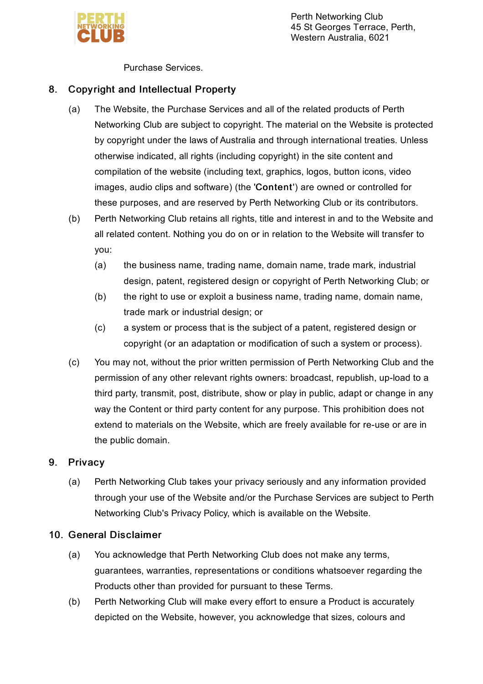

Perth Networking Club 45 St Georges Terrace, Perth, Western Australia, 6021

Purchase Services.

### 8. Copyright and Intellectual Property

- (a) The Website, the Purchase Services and all of the related products of Perth Networking Club are subject to copyright. The material on the Website is protected by copyright under the laws of Australia and through international treaties. Unless otherwise indicated, all rights (including copyright) in the site content and compilation of the website (including text, graphics, logos, button icons, video images, audio clips and software) (the 'Content') are owned or controlled for these purposes, and are reserved by Perth Networking Club or its contributors.
- (b) Perth Networking Club retains all rights, title and interest in and to the Website and all related content. Nothing you do on or in relation to the Website will transfer to you:
	- (a) the business name, trading name, domain name, trade mark, industrial design, patent, registered design or copyright of Perth Networking Club; or
	- (b) the right to use or exploit a business name, trading name, domain name, trade mark or industrial design; or
	- $(c)$ a system or process that is the subject of a patent, registered design or copyright (or an adaptation or modification of such a system or process).
- (c) You may not, without the prior written permission of Perth Networking Club and the permission of any other relevant rights owners: broadcast, republish, up-load to a third party, transmit, post, distribute, show or play in public, adapt or change in any way the Content or third party content for any purpose. This prohibition does not extend to materials on the Website, which are freely available for re-use or are in the public domain.

### 9. **Privacy**

(a) Perth Networking Club takes your privacy seriously and any information provided through your use of the Website and/or the Purchase Services are subject to Perth Networking Club's Privacy Policy, which is available on the Website.

### 10. General Disclaimer

- (a) You acknowledge that Perth Networking Club does not make any terms, guarantees, warranties, representations or conditions whatsoever regarding the Products other than provided for pursuant to these Terms.
- (b) Perth Networking Club will make every effort to ensure a Product is accurately depicted on the Website, however, you acknowledge that sizes, colours and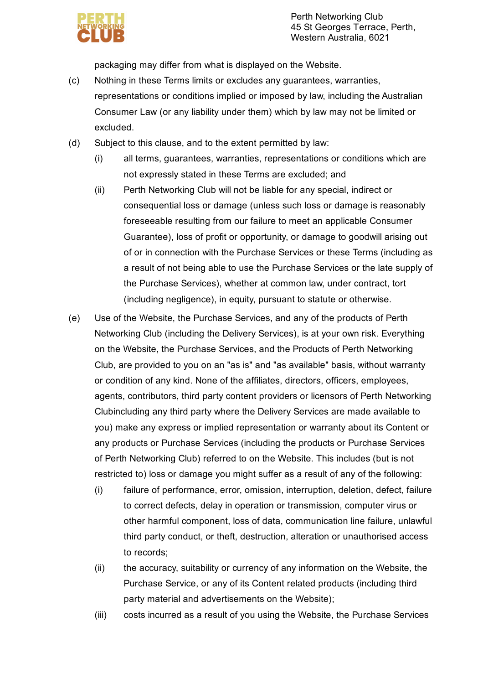

packaging may differ from what is displayed on the Website.

- (c) Nothing in these Terms limits or excludes any guarantees, warranties, representations or conditions implied or imposed by law, including the Australian Consumer Law (or any liability under them) which by law may not be limited or excluded.
- (d) Subject to this clause, and to the extent permitted by law:
	- (i) all terms, guarantees, warranties, representations or conditions which are not expressly stated in these Terms are excluded; and
	- (ii) Perth Networking Club will not be liable for any special, indirect or consequential loss or damage (unless such loss or damage is reasonably foreseeable resulting from our failure to meet an applicable Consumer Guarantee), loss of profit or opportunity, or damage to goodwill arising out of or in connection with the Purchase Services or these Terms (including as a result of not being able to use the Purchase Services or the late supply of the Purchase Services), whether at common law, under contract, tort (including negligence), in equity, pursuant to statute or otherwise.
- (e) Use of the Website, the Purchase Services, and any of the products of Perth Networking Club (including the Delivery Services), is at your own risk. Everything on the Website, the Purchase Services, and the Products of Perth Networking Club, are provided to you on an "as is" and "as available" basis, without warranty or condition of any kind. None of the affiliates, directors, officers, employees, agents, contributors, third party content providers or licensors of Perth Networking Clubincluding any third party where the Delivery Services are made available to you) make any express or implied representation or warranty about its Content or any products or Purchase Services (including the products or Purchase Services of Perth Networking Club) referred to on the Website. This includes (but is not restricted to) loss or damage you might suffer as a result of any of the following:
	- (i) failure of performance, error, omission, interruption, deletion, defect, failure to correct defects, delay in operation or transmission, computer virus or other harmful component, loss of data, communication line failure, unlawful third party conduct, or theft, destruction, alteration or unauthorised access to records;
	- (ii) the accuracy, suitability or currency of any information on the Website, the Purchase Service, or any of its Content related products (including third party material and advertisements on the Website);
	- (iii) costs incurred as a result of you using the Website, the Purchase Services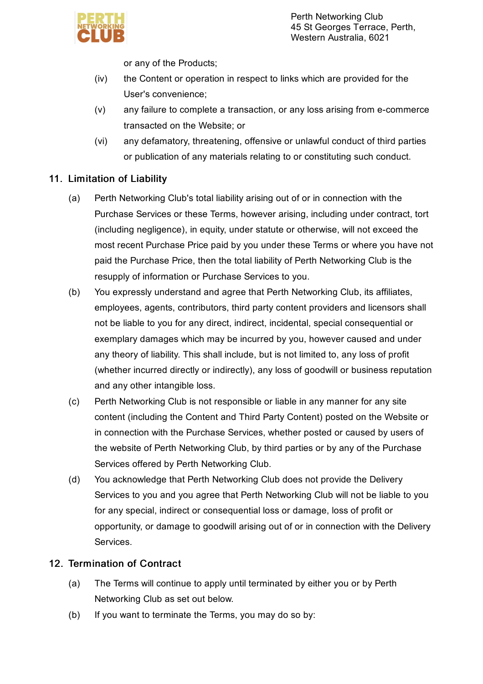or any of the Products;

- (iv) the Content or operation in respect to links which are provided for the User's convenience;
- (v) any failure to complete a transaction, or any loss arising from e-commerce transacted on the Website; or
- (vi) any defamatory, threatening, offensive or unlawful conduct of third parties or publication of any materials relating to or constituting such conduct.

# 11. Limitation of Liability

- (a) Perth Networking Club's total liability arising out of or in connection with the Purchase Services or these Terms, however arising, including under contract, tort (including negligence), in equity, under statute or otherwise, will not exceed the most recent Purchase Price paid by you under these Terms or where you have not paid the Purchase Price, then the total liability of Perth Networking Club is the resupply of information or Purchase Services to you.
- (b) You expressly understand and agree that Perth Networking Club, its affiliates, employees, agents, contributors, third party content providers and licensors shall not be liable to you for any direct, indirect, incidental, special consequential or exemplary damages which may be incurred by you, however caused and under any theory of liability. This shall include, but is not limited to, any loss of profit (whether incurred directly or indirectly), any loss of goodwill or business reputation and any other intangible loss.
- (c) Perth Networking Club is not responsible or liable in any manner for any site content (including the Content and Third Party Content) posted on the Website or in connection with the Purchase Services, whether posted or caused by users of the website of Perth Networking Club, by third parties or by any of the Purchase Services offered by Perth Networking Club.
- (d) You acknowledge that Perth Networking Club does not provide the Delivery Services to you and you agree that Perth Networking Club will not be liable to you for any special, indirect or consequential loss or damage, loss of profit or opportunity, or damage to goodwill arising out of or in connection with the Delivery Services.

# 12. Termination of Contract

- (a) The Terms will continue to apply until terminated by either you or by Perth Networking Club as set out below.
- (b) If you want to terminate the Terms, you may do so by: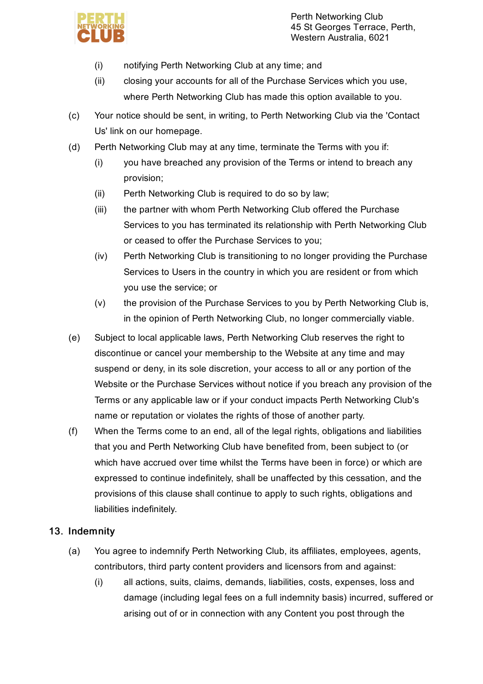

- (i) notifying Perth Networking Club at any time; and
- (ii) closing your accounts for all of the Purchase Services which you use, where Perth Networking Club has made this option available to you.
- (c) Your notice should be sent, in writing, to Perth Networking Club via the 'Contact Us' link on our homepage.
- (d) Perth Networking Club may at any time, terminate the Terms with you if:
	- (i) you have breached any provision of the Terms or intend to breach any provision;
	- (ii) Perth Networking Club is required to do so by law;
	- (iii) the partner with whom Perth Networking Club offered the Purchase Services to you has terminated its relationship with Perth Networking Club or ceased to offer the Purchase Services to you;
	- (iv) Perth Networking Club is transitioning to no longer providing the Purchase Services to Users in the country in which you are resident or from which you use the service; or
	- (v) the provision of the Purchase Services to you by Perth Networking Club is, in the opinion of Perth Networking Club, no longer commercially viable.
- (e) Subject to local applicable laws, Perth Networking Club reserves the right to discontinue or cancel your membership to the Website at any time and may suspend or deny, in its sole discretion, your access to all or any portion of the Website or the Purchase Services without notice if you breach any provision of the Terms or any applicable law or if your conduct impacts Perth Networking Club's name or reputation or violates the rights of those of another party.
- (f) When the Terms come to an end, all of the legal rights, obligations and liabilities that you and Perth Networking Club have benefited from, been subject to (or which have accrued over time whilst the Terms have been in force) or which are expressed to continue indefinitely, shall be unaffected by this cessation, and the provisions of this clause shall continue to apply to such rights, obligations and liabilities indefinitely.

# 13. Indemnity

- (a) You agree to indemnify Perth Networking Club, its affiliates, employees, agents, contributors, third party content providers and licensors from and against:
	- (i) all actions, suits, claims, demands, liabilities, costs, expenses, loss and damage (including legal fees on a full indemnity basis) incurred, suffered or arising out of or in connection with any Content you post through the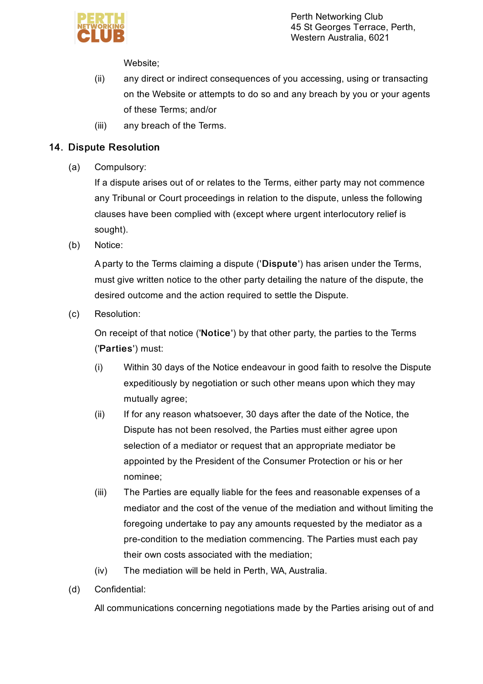

Perth Networking Club 45 St Georges Terrace, Perth, Western Australia, 6021

Website;

- (ii) any direct or indirect consequences of you accessing, using or transacting on the Website or attempts to do so and any breach by you or your agents of these Terms; and/or
- (iii) any breach of the Terms.

### 14. Dispute Resolution

(a) Compulsory:

> If a dispute arises out of or relates to the Terms, either party may not commence any Tribunal or Court proceedings in relation to the dispute, unless the following clauses have been complied with (except where urgent interlocutory relief is sought).

(b) Notice:

> A party to the Terms claiming a dispute ('Dispute') has arisen under the Terms, must give written notice to the other party detailing the nature of the dispute, the desired outcome and the action required to settle the Dispute.

(c) Resolution:

> On receipt of that notice ('Notice') by that other party, the parties to the Terms ('Parties') must:

- (i) Within 30 days of the Notice endeavour in good faith to resolve the Dispute expeditiously by negotiation or such other means upon which they may mutually agree;
- (ii) If for any reason whatsoever, 30 days after the date of the Notice, the Dispute has not been resolved, the Parties must either agree upon selection of a mediator or request that an appropriate mediator be appointed by the President of the Consumer Protection or his or her nominee;
- (iii) The Parties are equally liable for the fees and reasonable expenses of a mediator and the cost of the venue of the mediation and without limiting the foregoing undertake to pay any amounts requested by the mediator as a pre-condition to the mediation commencing. The Parties must each pay their own costs associated with the mediation;
- (iv) The mediation will be held in Perth, WA, Australia.
- (d) Confidential:

All communications concerning negotiations made by the Parties arising out of and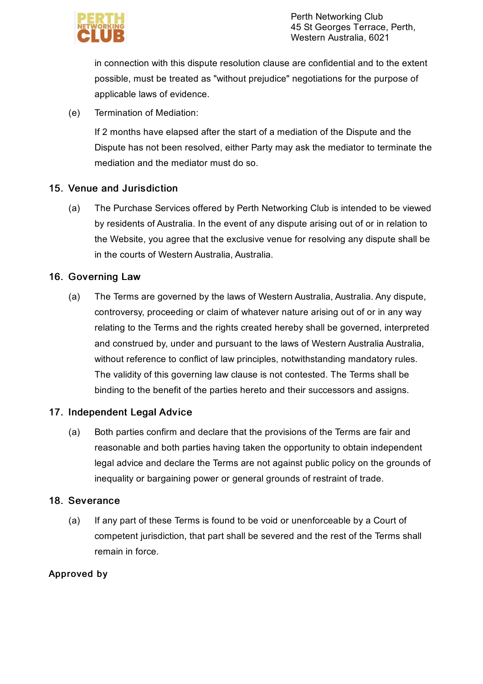

in connection with this dispute resolution clause are confidential and to the extent possible, must be treated as "without prejudice" negotiations for the purpose of applicable laws of evidence.

(e) Termination of Mediation:

> If 2 months have elapsed after the start of a mediation of the Dispute and the Dispute has not been resolved, either Party may ask the mediator to terminate the mediation and the mediator must do so.

# 15. Venue and Jurisdiction

(a) The Purchase Services offered by Perth Networking Club is intended to be viewed by residents of Australia. In the event of any dispute arising out of or in relation to the Website, you agree that the exclusive venue for resolving any dispute shall be in the courts of Western Australia, Australia.

# 16. Governing Law

(a) The Terms are governed by the laws of Western Australia, Australia. Any dispute, controversy, proceeding or claim of whatever nature arising out of or in any way relating to the Terms and the rights created hereby shall be governed, interpreted and construed by, under and pursuant to the laws of Western Australia Australia, without reference to conflict of law principles, notwithstanding mandatory rules. The validity of this governing law clause is not contested. The Terms shall be binding to the benefit of the parties hereto and their successors and assigns.

# 17. Independent Legal Advice

(a) Both parties confirm and declare that the provisions of the Terms are fair and reasonable and both parties having taken the opportunity to obtain independent legal advice and declare the Terms are not against public policy on the grounds of inequality or bargaining power or general grounds of restraint of trade.

# 18. Severance

(a) If any part of these Terms is found to be void or unenforceable by a Court of competent jurisdiction, that part shall be severed and the rest of the Terms shall remain in force.

# Approved by